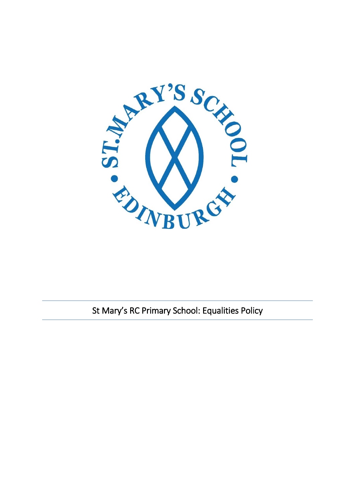

St Mary's RC Primary School: Equalities Policy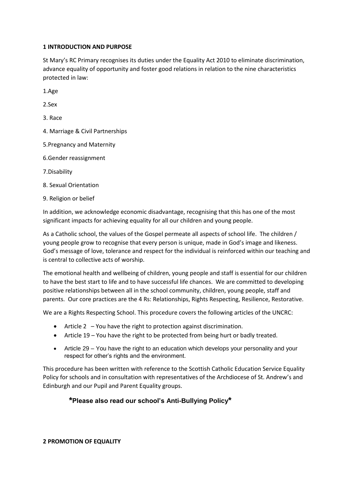### **1 INTRODUCTION AND PURPOSE**

St Mary's RC Primary recognises its duties under the Equality Act 2010 to eliminate discrimination, advance equality of opportunity and foster good relations in relation to the nine characteristics protected in law:

1.Age

2.Sex

3. Race

4. Marriage & Civil Partnerships

5.Pregnancy and Maternity

6.Gender reassignment

7.Disability

8. Sexual Orientation

9. Religion or belief

In addition, we acknowledge economic disadvantage, recognising that this has one of the most significant impacts for achieving equality for all our children and young people.

As a Catholic school, the values of the Gospel permeate all aspects of school life. The children / young people grow to recognise that every person is unique, made in God's image and likeness. God's message of love, tolerance and respect for the individual is reinforced within our teaching and is central to collective acts of worship.

The emotional health and wellbeing of children, young people and staff is essential for our children to have the best start to life and to have successful life chances. We are committed to developing positive relationships between all in the school community, children, young people, staff and parents. Our core practices are the 4 Rs: Relationships, Rights Respecting, Resilience, Restorative.

We are a Rights Respecting School. This procedure covers the following articles of the UNCRC:

- Article 2 You have the right to protection against discrimination.
- Article 19 You have the right to be protected from being hurt or badly treated.
- Article 29 You have the right to an education which develops your personality and your respect for other's rights and the environment.

This procedure has been written with reference to the Scottish Catholic Education Service Equality Policy for schools and in consultation with representatives of the Archdiocese of St. Andrew's and Edinburgh and our Pupil and Parent Equality groups.

# **\*Please also read our school's Anti-Bullying Policy\***

#### **2 PROMOTION OF EQUALITY**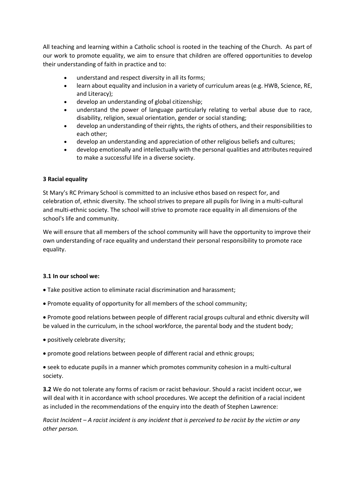All teaching and learning within a Catholic school is rooted in the teaching of the Church. As part of our work to promote equality, we aim to ensure that children are offered opportunities to develop their understanding of faith in practice and to:

- understand and respect diversity in all its forms;
- learn about equality and inclusion in a variety of curriculum areas (e.g. HWB, Science, RE, and Literacy);
- develop an understanding of global citizenship;
- understand the power of language particularly relating to verbal abuse due to race, disability, religion, sexual orientation, gender or social standing;
- develop an understanding of their rights, the rights of others, and their responsibilities to each other;
- develop an understanding and appreciation of other religious beliefs and cultures;
- develop emotionally and intellectually with the personal qualities and attributes required to make a successful life in a diverse society.

## **3 Racial equality**

St Mary's RC Primary School is committed to an inclusive ethos based on respect for, and celebration of, ethnic diversity. The school strives to prepare all pupils for living in a multi-cultural and multi-ethnic society. The school will strive to promote race equality in all dimensions of the school's life and community.

We will ensure that all members of the school community will have the opportunity to improve their own understanding of race equality and understand their personal responsibility to promote race equality.

# **3.1 In our school we:**

- Take positive action to eliminate racial discrimination and harassment;
- Promote equality of opportunity for all members of the school community;

• Promote good relations between people of different racial groups cultural and ethnic diversity will be valued in the curriculum, in the school workforce, the parental body and the student body;

- positively celebrate diversity;
- promote good relations between people of different racial and ethnic groups;

• seek to educate pupils in a manner which promotes community cohesion in a multi-cultural society.

**3.2** We do not tolerate any forms of racism or racist behaviour. Should a racist incident occur, we will deal with it in accordance with school procedures. We accept the definition of a racial incident as included in the recommendations of the enquiry into the death of Stephen Lawrence:

*Racist Incident – A racist incident is any incident that is perceived to be racist by the victim or any other person.*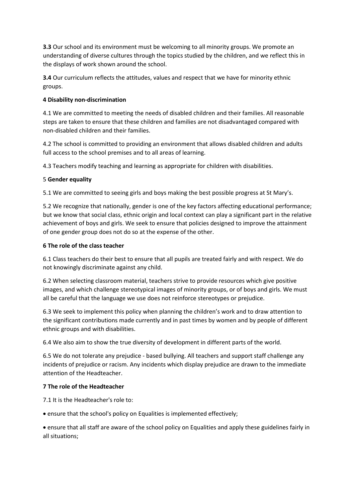**3.3** Our school and its environment must be welcoming to all minority groups. We promote an understanding of diverse cultures through the topics studied by the children, and we reflect this in the displays of work shown around the school.

**3.4** Our curriculum reflects the attitudes, values and respect that we have for minority ethnic groups.

## **4 Disability non-discrimination**

4.1 We are committed to meeting the needs of disabled children and their families. All reasonable steps are taken to ensure that these children and families are not disadvantaged compared with non-disabled children and their families.

4.2 The school is committed to providing an environment that allows disabled children and adults full access to the school premises and to all areas of learning.

4.3 Teachers modify teaching and learning as appropriate for children with disabilities.

## 5 **Gender equality**

5.1 We are committed to seeing girls and boys making the best possible progress at St Mary's.

5.2 We recognize that nationally, gender is one of the key factors affecting educational performance; but we know that social class, ethnic origin and local context can play a significant part in the relative achievement of boys and girls. We seek to ensure that policies designed to improve the attainment of one gender group does not do so at the expense of the other.

## **6 The role of the class teacher**

6.1 Class teachers do their best to ensure that all pupils are treated fairly and with respect. We do not knowingly discriminate against any child.

6.2 When selecting classroom material, teachers strive to provide resources which give positive images, and which challenge stereotypical images of minority groups, or of boys and girls. We must all be careful that the language we use does not reinforce stereotypes or prejudice.

6.3 We seek to implement this policy when planning the children's work and to draw attention to the significant contributions made currently and in past times by women and by people of different ethnic groups and with disabilities.

6.4 We also aim to show the true diversity of development in different parts of the world.

6.5 We do not tolerate any prejudice - based bullying. All teachers and support staff challenge any incidents of prejudice or racism. Any incidents which display prejudice are drawn to the immediate attention of the Headteacher.

#### **7 The role of the Headteacher**

7.1 It is the Headteacher's role to:

• ensure that the school's policy on Equalities is implemented effectively;

• ensure that all staff are aware of the school policy on Equalities and apply these guidelines fairly in all situations;